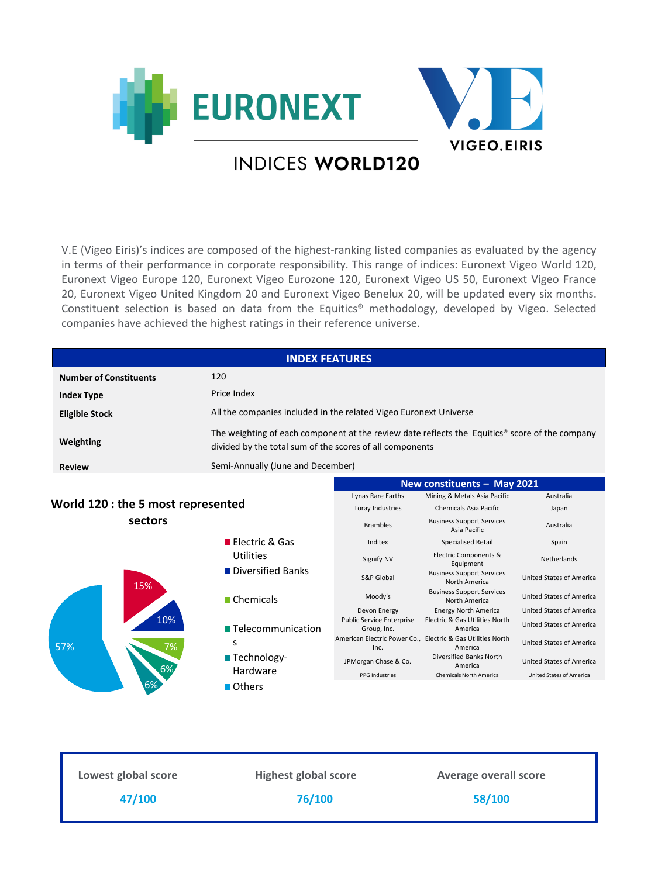

## V.E (Vigeo Eiris)'s indices are composed of the highest-ranking listed companies as evaluated by the agency in terms of their performance in corporate responsibility. This range of indices: Euronext Vigeo World 120, Euronext Vigeo Europe 120, Euronext Vigeo Eurozone 120, Euronext Vigeo US 50, Euronext Vigeo France 20, Euronext Vigeo United Kingdom 20 and Euronext Vigeo Benelux 20, will be updated every six months. Constituent selection is based on data from the Equitics® methodology, developed by Vigeo. Selected companies have achieved the highest ratings in their reference universe.

|                                    | <b>INDEX FEATURES</b>                                                                                                                                      |                                                 |                                                                        |                                 |
|------------------------------------|------------------------------------------------------------------------------------------------------------------------------------------------------------|-------------------------------------------------|------------------------------------------------------------------------|---------------------------------|
| <b>Number of Constituents</b>      | 120                                                                                                                                                        |                                                 |                                                                        |                                 |
| <b>Index Type</b>                  | Price Index                                                                                                                                                |                                                 |                                                                        |                                 |
| <b>Eligible Stock</b>              | All the companies included in the related Vigeo Euronext Universe                                                                                          |                                                 |                                                                        |                                 |
| Weighting                          | The weighting of each component at the review date reflects the Equitics® score of the company<br>divided by the total sum of the scores of all components |                                                 |                                                                        |                                 |
| <b>Review</b>                      | Semi-Annually (June and December)                                                                                                                          |                                                 |                                                                        |                                 |
|                                    |                                                                                                                                                            | New constituents - May 2021                     |                                                                        |                                 |
|                                    |                                                                                                                                                            | Lynas Rare Earths                               | Mining & Metals Asia Pacific                                           | Australia                       |
| World 120 : the 5 most represented |                                                                                                                                                            | Toray Industries                                | Chemicals Asia Pacific                                                 | Japan                           |
| sectors                            |                                                                                                                                                            | <b>Brambles</b>                                 | <b>Business Support Services</b><br>Asia Pacific                       | Australia                       |
|                                    | <b>Electric &amp; Gas</b>                                                                                                                                  | Inditex                                         | <b>Specialised Retail</b>                                              | Spain                           |
| 15%                                | Utilities                                                                                                                                                  | Signify NV                                      | Electric Components &<br>Equipment                                     | Netherlands                     |
|                                    | Diversified Banks                                                                                                                                          | <b>S&amp;P Global</b>                           | <b>Business Support Services</b><br>North America                      | <b>United States of America</b> |
|                                    | $\blacksquare$ Chemicals                                                                                                                                   | Moody's                                         | <b>Business Support Services</b><br>North America                      | <b>United States of America</b> |
|                                    |                                                                                                                                                            | Devon Energy                                    | <b>Energy North America</b>                                            | <b>United States of America</b> |
| 10%<br>57%<br>7%                   | ■ Telecommunication                                                                                                                                        | <b>Public Service Enterprise</b><br>Group, Inc. | Electric & Gas Utilities North<br>America                              | <b>United States of America</b> |
|                                    | S                                                                                                                                                          | Inc.                                            | American Electric Power Co., Electric & Gas Utilities North<br>America | <b>United States of America</b> |
|                                    | ■ Technology-                                                                                                                                              | JPMorgan Chase & Co.                            | Diversified Banks North<br>America                                     | United States of America        |
|                                    | Hardware                                                                                                                                                   | <b>PPG Industries</b>                           | <b>Chemicals North America</b>                                         | <b>United States of America</b> |
|                                    | Others                                                                                                                                                     |                                                 |                                                                        |                                 |
|                                    |                                                                                                                                                            |                                                 |                                                                        |                                 |
|                                    |                                                                                                                                                            |                                                 |                                                                        |                                 |
|                                    |                                                                                                                                                            |                                                 |                                                                        |                                 |

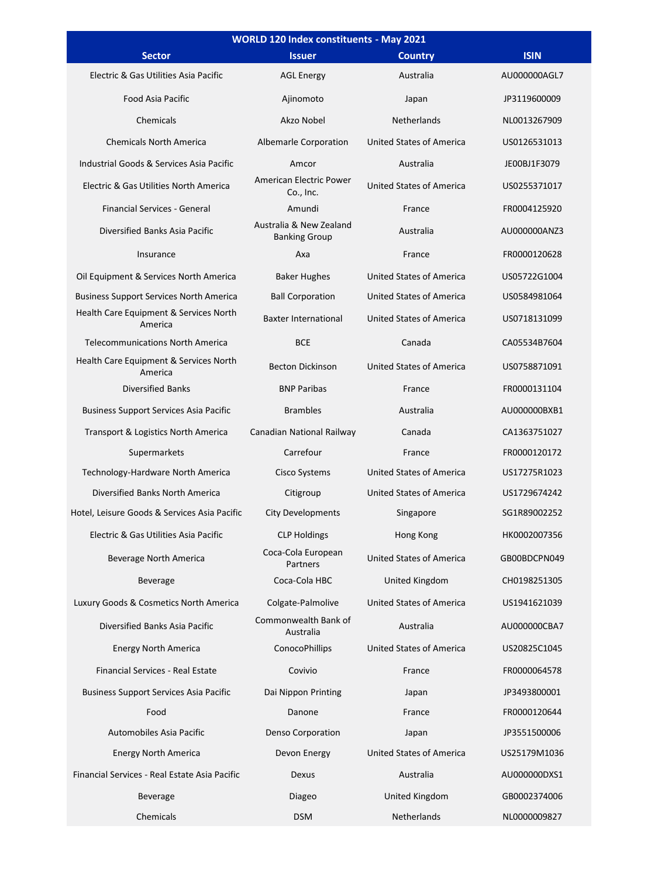| WORLD 120 Index constituents - May 2021           |                                                 |                                 |              |  |
|---------------------------------------------------|-------------------------------------------------|---------------------------------|--------------|--|
| <b>Sector</b>                                     | <b>Issuer</b>                                   | <b>Country</b>                  | <b>ISIN</b>  |  |
| Electric & Gas Utilities Asia Pacific             | <b>AGL Energy</b>                               | Australia                       | AU000000AGL7 |  |
| <b>Food Asia Pacific</b>                          | Ajinomoto                                       | Japan                           | JP3119600009 |  |
| Chemicals                                         | Akzo Nobel                                      | <b>Netherlands</b>              | NL0013267909 |  |
| <b>Chemicals North America</b>                    | Albemarle Corporation                           | <b>United States of America</b> | US0126531013 |  |
| Industrial Goods & Services Asia Pacific          | Amcor                                           | Australia                       | JE00BJ1F3079 |  |
| Electric & Gas Utilities North America            | American Electric Power<br>Co., Inc.            | <b>United States of America</b> | US0255371017 |  |
| Financial Services - General                      | Amundi                                          | France                          | FR0004125920 |  |
| Diversified Banks Asia Pacific                    | Australia & New Zealand<br><b>Banking Group</b> | Australia                       | AU000000ANZ3 |  |
| Insurance                                         | Axa                                             | France                          | FR0000120628 |  |
| Oil Equipment & Services North America            | <b>Baker Hughes</b>                             | United States of America        | US05722G1004 |  |
| <b>Business Support Services North America</b>    | <b>Ball Corporation</b>                         | United States of America        | US0584981064 |  |
| Health Care Equipment & Services North<br>America | <b>Baxter International</b>                     | <b>United States of America</b> | US0718131099 |  |
| <b>Telecommunications North America</b>           | <b>BCE</b>                                      | Canada                          | CA05534B7604 |  |
| Health Care Equipment & Services North<br>America | <b>Becton Dickinson</b>                         | <b>United States of America</b> | US0758871091 |  |
| <b>Diversified Banks</b>                          | <b>BNP Paribas</b>                              | France                          | FR0000131104 |  |
| <b>Business Support Services Asia Pacific</b>     | <b>Brambles</b>                                 | Australia                       | AU000000BXB1 |  |
| Transport & Logistics North America               | Canadian National Railway                       | Canada                          | CA1363751027 |  |
| Supermarkets                                      | Carrefour                                       | France                          | FR0000120172 |  |
| Technology-Hardware North America                 | Cisco Systems                                   | United States of America        | US17275R1023 |  |
| Diversified Banks North America                   | Citigroup                                       | United States of America        | US1729674242 |  |
| Hotel, Leisure Goods & Services Asia Pacific      | <b>City Developments</b>                        | Singapore                       | SG1R89002252 |  |
| Electric & Gas Utilities Asia Pacific             | <b>CLP Holdings</b>                             | Hong Kong                       | HK0002007356 |  |
| Beverage North America                            | Coca-Cola European<br>Partners                  | United States of America        | GB00BDCPN049 |  |
| Beverage                                          | Coca-Cola HBC                                   | <b>United Kingdom</b>           | CH0198251305 |  |
| Luxury Goods & Cosmetics North America            | Colgate-Palmolive                               | <b>United States of America</b> | US1941621039 |  |
| Diversified Banks Asia Pacific                    | Commonwealth Bank of<br>Australia               | Australia                       | AU000000CBA7 |  |
| <b>Energy North America</b>                       | <b>ConocoPhillips</b>                           | <b>United States of America</b> | US20825C1045 |  |
| Financial Services - Real Estate                  | Covivio                                         | France                          | FR0000064578 |  |
| <b>Business Support Services Asia Pacific</b>     | Dai Nippon Printing                             | Japan                           | JP3493800001 |  |
| Food                                              | Danone                                          | France                          | FR0000120644 |  |
| Automobiles Asia Pacific                          | <b>Denso Corporation</b>                        | Japan                           | JP3551500006 |  |
| <b>Energy North America</b>                       | Devon Energy                                    | <b>United States of America</b> | US25179M1036 |  |
| Financial Services - Real Estate Asia Pacific     | Dexus                                           | Australia                       | AU000000DXS1 |  |
| <b>Beverage</b>                                   | Diageo                                          | United Kingdom                  | GB0002374006 |  |
| Chemicals                                         | <b>DSM</b>                                      | Netherlands                     | NL0000009827 |  |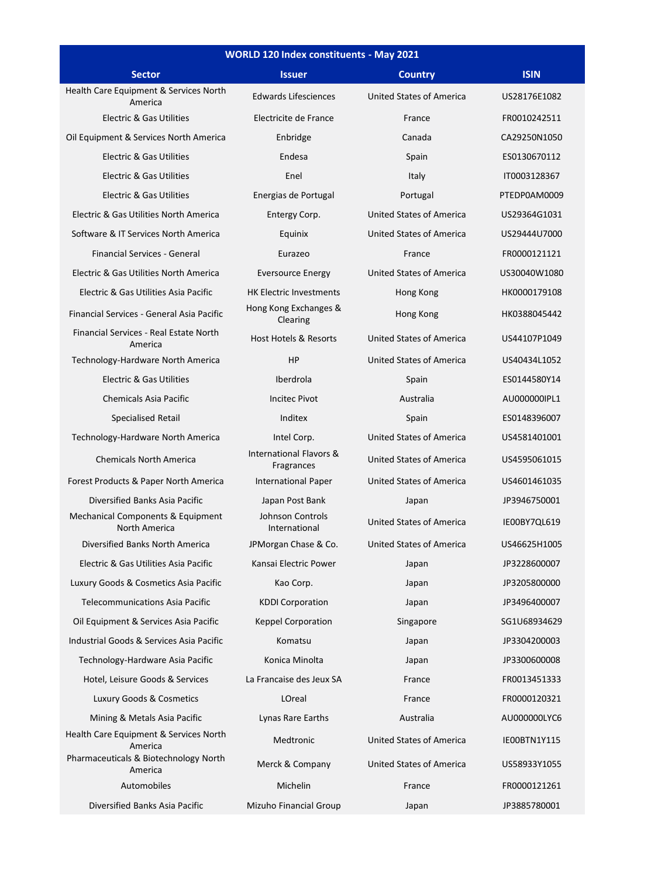| <b>WORLD 120 Index constituents - May 2021</b>     |                                       |                                 |              |  |
|----------------------------------------------------|---------------------------------------|---------------------------------|--------------|--|
| <b>Sector</b>                                      | <b>Issuer</b>                         | <b>Country</b>                  | <b>ISIN</b>  |  |
| Health Care Equipment & Services North<br>America  | <b>Edwards Lifesciences</b>           | United States of America        | US28176E1082 |  |
| <b>Electric &amp; Gas Utilities</b>                | Electricite de France                 | France                          | FR0010242511 |  |
| Oil Equipment & Services North America             | Enbridge                              | Canada                          | CA29250N1050 |  |
| Electric & Gas Utilities                           | Endesa                                | Spain                           | ES0130670112 |  |
| <b>Electric &amp; Gas Utilities</b>                | Enel                                  | Italy                           | IT0003128367 |  |
| Electric & Gas Utilities                           | Energias de Portugal                  | Portugal                        | PTEDP0AM0009 |  |
| Electric & Gas Utilities North America             | Entergy Corp.                         | United States of America        | US29364G1031 |  |
| Software & IT Services North America               | Equinix                               | United States of America        | US29444U7000 |  |
| Financial Services - General                       | Eurazeo                               | France                          | FR0000121121 |  |
| Electric & Gas Utilities North America             | <b>Eversource Energy</b>              | United States of America        | US30040W1080 |  |
| Electric & Gas Utilities Asia Pacific              | <b>HK Electric Investments</b>        | Hong Kong                       | HK0000179108 |  |
| Financial Services - General Asia Pacific          | Hong Kong Exchanges &<br>Clearing     | Hong Kong                       | HK0388045442 |  |
| Financial Services - Real Estate North<br>America  | <b>Host Hotels &amp; Resorts</b>      | United States of America        | US44107P1049 |  |
| Technology-Hardware North America                  | HP                                    | <b>United States of America</b> | US40434L1052 |  |
| Electric & Gas Utilities                           | Iberdrola                             | Spain                           | ES0144580Y14 |  |
| Chemicals Asia Pacific                             | <b>Incitec Pivot</b>                  | Australia                       | AU000000IPL1 |  |
| <b>Specialised Retail</b>                          | Inditex                               | Spain                           | ES0148396007 |  |
| Technology-Hardware North America                  | Intel Corp.                           | United States of America        | US4581401001 |  |
| <b>Chemicals North America</b>                     | International Flavors &<br>Fragrances | United States of America        | US4595061015 |  |
| Forest Products & Paper North America              | <b>International Paper</b>            | United States of America        | US4601461035 |  |
| Diversified Banks Asia Pacific                     | Japan Post Bank                       | Japan                           | JP3946750001 |  |
| Mechanical Components & Equipment<br>North America | Johnson Controls<br>International     | United States of America        | IE00BY7QL619 |  |
| Diversified Banks North America                    | JPMorgan Chase & Co.                  | United States of America        | US46625H1005 |  |
| Electric & Gas Utilities Asia Pacific              | Kansai Electric Power                 | Japan                           | JP3228600007 |  |
| Luxury Goods & Cosmetics Asia Pacific              | Kao Corp.                             | Japan                           | JP3205800000 |  |
| <b>Telecommunications Asia Pacific</b>             | <b>KDDI Corporation</b>               | Japan                           | JP3496400007 |  |
| Oil Equipment & Services Asia Pacific              | <b>Keppel Corporation</b>             | Singapore                       | SG1U68934629 |  |
| Industrial Goods & Services Asia Pacific           | Komatsu                               | Japan                           | JP3304200003 |  |
| Technology-Hardware Asia Pacific                   | Konica Minolta                        | Japan                           | JP3300600008 |  |
| Hotel, Leisure Goods & Services                    | La Francaise des Jeux SA              | France                          | FR0013451333 |  |
| Luxury Goods & Cosmetics                           | LOreal                                | France                          | FR0000120321 |  |
| Mining & Metals Asia Pacific                       | Lynas Rare Earths                     | Australia                       | AU000000LYC6 |  |
| Health Care Equipment & Services North<br>America  | Medtronic                             | <b>United States of America</b> | IE00BTN1Y115 |  |
| Pharmaceuticals & Biotechnology North<br>America   | Merck & Company                       | United States of America        | US58933Y1055 |  |
| Automobiles                                        | Michelin                              | France                          | FR0000121261 |  |
| Diversified Banks Asia Pacific                     | Mizuho Financial Group                | Japan                           | JP3885780001 |  |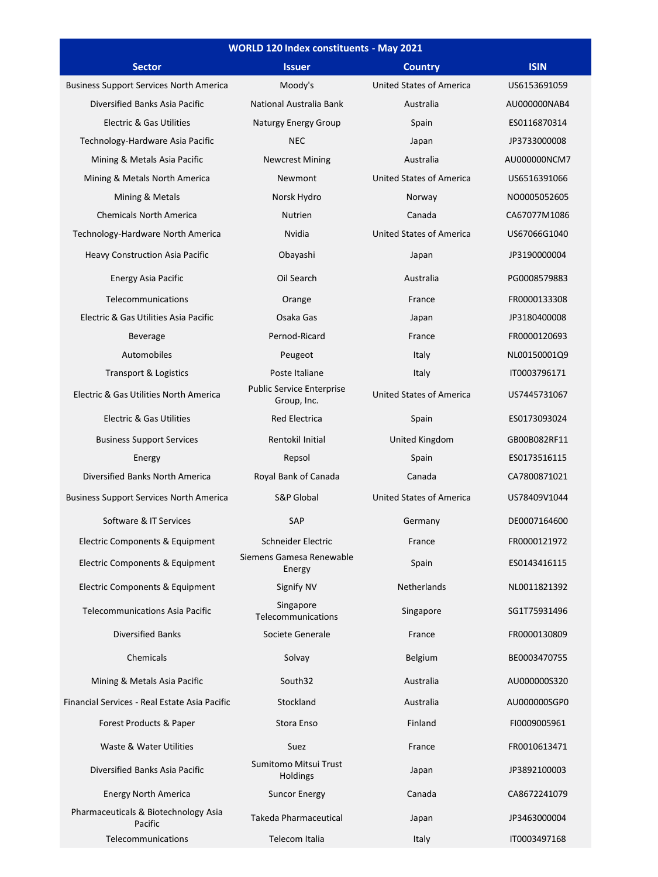| WORLD 120 Index constituents - May 2021         |                                                 |                                 |              |  |
|-------------------------------------------------|-------------------------------------------------|---------------------------------|--------------|--|
| <b>Sector</b>                                   | <b>Issuer</b>                                   | <b>Country</b>                  | <b>ISIN</b>  |  |
| <b>Business Support Services North America</b>  | Moody's                                         | <b>United States of America</b> | US6153691059 |  |
| Diversified Banks Asia Pacific                  | National Australia Bank                         | Australia                       | AU000000NAB4 |  |
| <b>Electric &amp; Gas Utilities</b>             | Naturgy Energy Group                            | Spain                           | ES0116870314 |  |
| Technology-Hardware Asia Pacific                | <b>NEC</b>                                      | Japan                           | JP3733000008 |  |
| Mining & Metals Asia Pacific                    | <b>Newcrest Mining</b>                          | Australia                       | AU000000NCM7 |  |
| Mining & Metals North America                   | Newmont                                         | <b>United States of America</b> | US6516391066 |  |
| Mining & Metals                                 | Norsk Hydro                                     | Norway                          | NO0005052605 |  |
| <b>Chemicals North America</b>                  | Nutrien                                         | Canada                          | CA67077M1086 |  |
| Technology-Hardware North America               | Nvidia                                          | <b>United States of America</b> | US67066G1040 |  |
| <b>Heavy Construction Asia Pacific</b>          | Obayashi                                        | Japan                           | JP3190000004 |  |
| <b>Energy Asia Pacific</b>                      | Oil Search                                      | Australia                       | PG0008579883 |  |
| Telecommunications                              | Orange                                          | France                          | FR0000133308 |  |
| Electric & Gas Utilities Asia Pacific           | Osaka Gas                                       | Japan                           | JP3180400008 |  |
| <b>Beverage</b>                                 | Pernod-Ricard                                   | France                          | FR0000120693 |  |
| Automobiles                                     | Peugeot                                         | Italy                           | NL00150001Q9 |  |
| <b>Transport &amp; Logistics</b>                | Poste Italiane                                  | Italy                           | IT0003796171 |  |
| Electric & Gas Utilities North America          | <b>Public Service Enterprise</b><br>Group, Inc. | <b>United States of America</b> | US7445731067 |  |
| <b>Electric &amp; Gas Utilities</b>             | <b>Red Electrica</b>                            | Spain                           | ES0173093024 |  |
| <b>Business Support Services</b>                | Rentokil Initial                                | United Kingdom                  | GB00B082RF11 |  |
| Energy                                          | Repsol                                          | Spain                           | ES0173516115 |  |
| Diversified Banks North America                 | Royal Bank of Canada                            | Canada                          | CA7800871021 |  |
| <b>Business Support Services North America</b>  | <b>S&amp;P Global</b>                           | <b>United States of America</b> | US78409V1044 |  |
| Software & IT Services                          | SAP                                             | Germany                         | DE0007164600 |  |
| Electric Components & Equipment                 | Schneider Electric                              | France                          | FR0000121972 |  |
| <b>Electric Components &amp; Equipment</b>      | Siemens Gamesa Renewable<br>Energy              | Spain                           | ES0143416115 |  |
| Electric Components & Equipment                 | Signify NV                                      | Netherlands                     | NL0011821392 |  |
| <b>Telecommunications Asia Pacific</b>          | Singapore<br>Telecommunications                 | Singapore                       | SG1T75931496 |  |
| <b>Diversified Banks</b>                        | Societe Generale                                | France                          | FR0000130809 |  |
| Chemicals                                       | Solvay                                          | Belgium                         | BE0003470755 |  |
| Mining & Metals Asia Pacific                    | South32                                         | Australia                       | AU000000S320 |  |
| Financial Services - Real Estate Asia Pacific   | Stockland                                       | Australia                       | AU000000SGP0 |  |
| Forest Products & Paper                         | Stora Enso                                      | Finland                         | FI0009005961 |  |
| Waste & Water Utilities                         | Suez                                            | France                          | FR0010613471 |  |
| Diversified Banks Asia Pacific                  | Sumitomo Mitsui Trust<br>Holdings               | Japan                           | JP3892100003 |  |
| <b>Energy North America</b>                     | <b>Suncor Energy</b>                            | Canada                          | CA8672241079 |  |
| Pharmaceuticals & Biotechnology Asia<br>Pacific | <b>Takeda Pharmaceutical</b>                    | Japan                           | JP3463000004 |  |
| Telecommunications                              | Telecom Italia                                  | Italy                           | IT0003497168 |  |